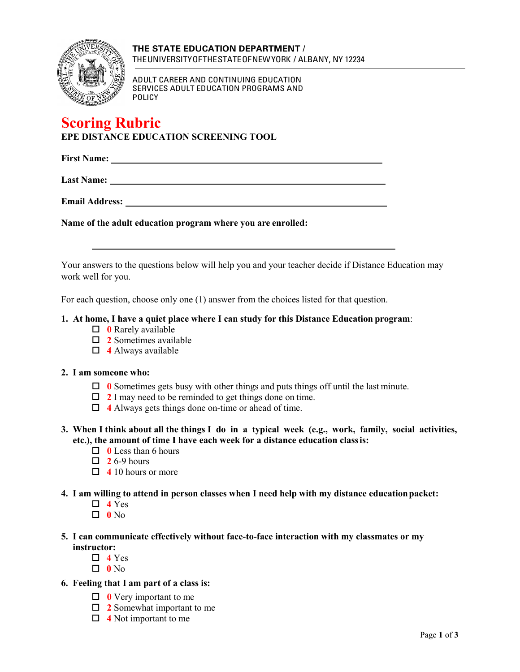

ADULT CAREER AND CONTINUING EDUCATION SERVICES ADULT EDUCATION PROGRAMS AND POLICY

# **Scoring Rubric EPE DISTANCE EDUCATION SCREENING TOOL**

**First Name:** 

**Last Name:** 

**Email Address:** 

**Name of the adult education program where you are enrolled:**

Your answers to the questions below will help you and your teacher decide if Distance Education may work well for you.

For each question, choose only one (1) answer from the choices listed for that question.

#### **1. At home, I have a quiet place where I can study for this Distance Education program**:

- **0** Rarely available
- **2** Sometimes available
- **4** Always available

#### **2. I am someone who:**

- **0** Sometimes gets busy with other things and puts things off until the last minute.
- **2** I may need to be reminded to get things done on time.
- **4** Always gets things done on-time or ahead of time.
- **3. When I think about all the things I do in a typical week (e.g., work, family, social activities, etc.), the amount of time I have each week for a distance education classis:**
	- □ **0** Less than 6 hours
	- $\Box$  **2** 6-9 hours
	- **4** 10 hours or more
- **4. I am willing to attend in person classes when I need help with my distance educationpacket:**
	- $\Box$  4 Yes
	- $\Box$  0  $\mathrm{No}$
- **5. I can communicate effectively without face-to-face interaction with my classmates or my instructor:**
	- $\Box$  4 Yes
	- $\Box$  0 No
- **6. Feeling that I am part of a class is:**
	- **0** Very important to me
	- **2** Somewhat important to me
	- **4** Not important to me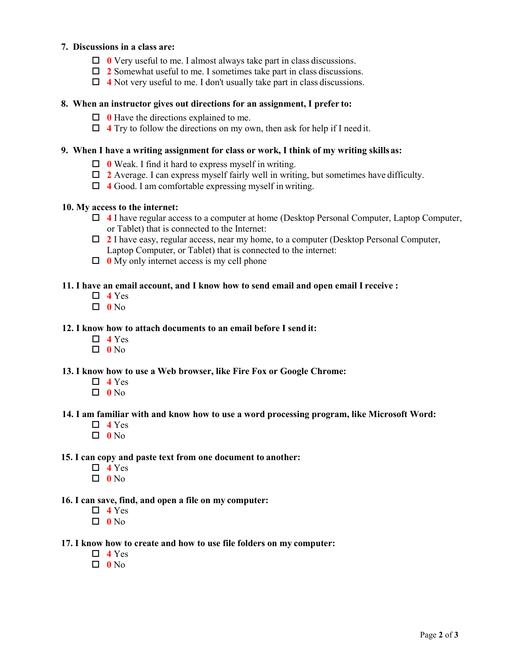# **7. Discussions in a class are:**

- **0** Very useful to me. I almost always take part in class discussions.
- **2** Somewhat useful to me. I sometimes take part in class discussions.
- **4** Not very useful to me. I don't usually take part in class discussions.

#### **8. When an instructor gives out directions for an assignment, I prefer to:**

- **0** Have the directions explained to me.
- **4** Try to follow the directions on my own, then ask for help if I need it.

#### **9. When I have a writing assignment for class or work, I think of my writing skillsas:**

- **0** Weak. I find it hard to express myself in writing.
- **2** Average. I can express myself fairly well in writing, but sometimes have difficulty.
- **4** Good. I am comfortable expressing myself in writing.

# **10. My access to the internet:**

- **4** I have regular access to a computer at home (Desktop Personal Computer, Laptop Computer, or Tablet) that is connected to the Internet:
- **2** I have easy, regular access, near my home, to a computer (Desktop Personal Computer, Laptop Computer, or Tablet) that is connected to the internet:
- **0** My only internet access is my cell phone

#### **11. I have an email account, and I know how to send email and open email I receive :**

- $\Box$  4 Yes
- $\Box$  0  $\mathrm{No}$

#### **12. I know how to attach documents to an email before I send it:**

- $\Box$  4 Yes
- **0** No

#### **13. I know how to use a Web browser, like Fire Fox or Google Chrome:**

- $\Box$  4 Yes
- **0** No

#### **14. I am familiar with and know how to use a word processing program, like Microsoft Word:**

- $\Box$  4 Yes
- **0** No

# **15. I can copy and paste text from one document to another:**

- $\Box$  4 Yes
- **0** No

#### **16. I can save, find, and open a file on my computer:**

- $\Box$  **4** Yes
- **0** No

#### **17. I know how to create and how to use file folders on my computer:**

- $\Box$  4 Yes
- **0** No